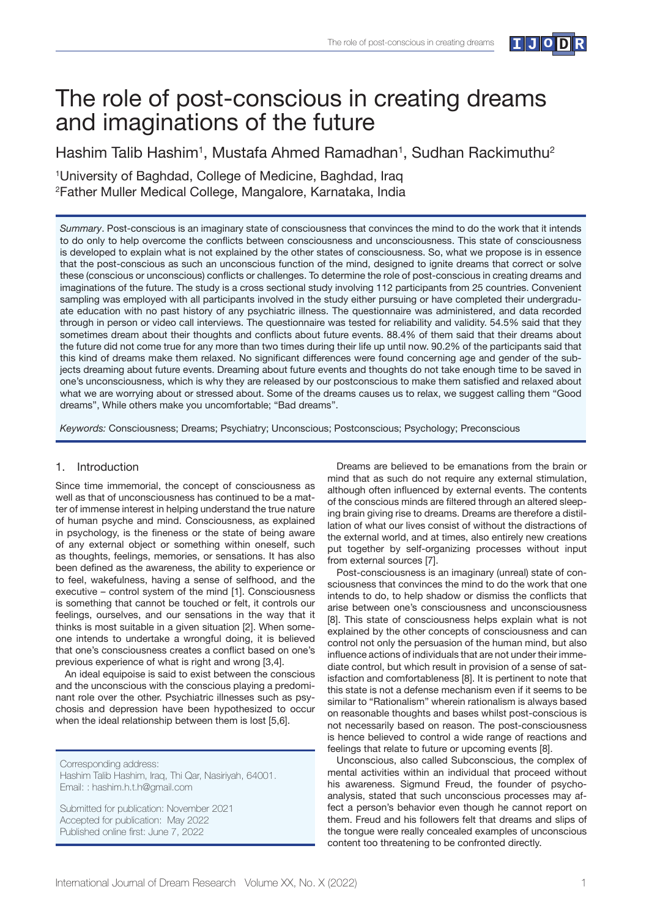

# The role of post-conscious in creating dreams and imaginations of the future

Hashim Talib Hashim<sup>1</sup>, Mustafa Ahmed Ramadhan<sup>1</sup>, Sudhan Rackimuthu<sup>2</sup>

1 University of Baghdad, College of Medicine, Baghdad, Iraq 2 Father Muller Medical College, Mangalore, Karnataka, India

*Summary*. Post-conscious is an imaginary state of consciousness that convinces the mind to do the work that it intends to do only to help overcome the conflicts between consciousness and unconsciousness. This state of consciousness is developed to explain what is not explained by the other states of consciousness. So, what we propose is in essence that the post-conscious as such an unconscious function of the mind, designed to ignite dreams that correct or solve these (conscious or unconscious) conflicts or challenges. To determine the role of post-conscious in creating dreams and imaginations of the future. The study is a cross sectional study involving 112 participants from 25 countries. Convenient sampling was employed with all participants involved in the study either pursuing or have completed their undergraduate education with no past history of any psychiatric illness. The questionnaire was administered, and data recorded through in person or video call interviews. The questionnaire was tested for reliability and validity. 54.5% said that they sometimes dream about their thoughts and conflicts about future events. 88.4% of them said that their dreams about the future did not come true for any more than two times during their life up until now. 90.2% of the participants said that this kind of dreams make them relaxed. No significant differences were found concerning age and gender of the subjects dreaming about future events. Dreaming about future events and thoughts do not take enough time to be saved in one's unconsciousness, which is why they are released by our postconscious to make them satisfied and relaxed about what we are worrying about or stressed about. Some of the dreams causes us to relax, we suggest calling them "Good dreams", While others make you uncomfortable; "Bad dreams".

*Keywords:* Consciousness; Dreams; Psychiatry; Unconscious; Postconscious; Psychology; Preconscious

## 1. Introduction

Since time immemorial, the concept of consciousness as well as that of unconsciousness has continued to be a matter of immense interest in helping understand the true nature of human psyche and mind. Consciousness, as explained in psychology, is the fineness or the state of being aware of any external object or something within oneself, such as thoughts, feelings, memories, or sensations. It has also been defined as the awareness, the ability to experience or to feel, wakefulness, having a sense of selfhood, and the executive – control system of the mind [1]. Consciousness is something that cannot be touched or felt, it controls our feelings, ourselves, and our sensations in the way that it thinks is most suitable in a given situation [2]. When someone intends to undertake a wrongful doing, it is believed that one's consciousness creates a conflict based on one's previous experience of what is right and wrong [3,4].

An ideal equipoise is said to exist between the conscious and the unconscious with the conscious playing a predominant role over the other. Psychiatric illnesses such as psychosis and depression have been hypothesized to occur when the ideal relationship between them is lost [5,6].

Corresponding address:

Hashim Talib Hashim, Iraq, Thi Qar, Nasiriyah, 64001. Email: : hashim.h.t.h@gmail.com

Submitted for publication: November 2021 Accepted for publication: May 2022 Published online first: June 7, 2022

Dreams are believed to be emanations from the brain or mind that as such do not require any external stimulation, although often influenced by external events. The contents of the conscious minds are filtered through an altered sleeping brain giving rise to dreams. Dreams are therefore a distillation of what our lives consist of without the distractions of the external world, and at times, also entirely new creations put together by self-organizing processes without input from external sources [7].

Post-consciousness is an imaginary (unreal) state of consciousness that convinces the mind to do the work that one intends to do, to help shadow or dismiss the conflicts that arise between one's consciousness and unconsciousness [8]. This state of consciousness helps explain what is not explained by the other concepts of consciousness and can control not only the persuasion of the human mind, but also influence actions of individuals that are not under their immediate control, but which result in provision of a sense of satisfaction and comfortableness [8]. It is pertinent to note that this state is not a defense mechanism even if it seems to be similar to "Rationalism" wherein rationalism is always based on reasonable thoughts and bases whilst post-conscious is not necessarily based on reason. The post-consciousness is hence believed to control a wide range of reactions and feelings that relate to future or upcoming events [8].

Unconscious, also called Subconscious, the complex of mental activities within an individual that proceed without his awareness. Sigmund Freud, the founder of psychoanalysis, stated that such unconscious processes may affect a person's behavior even though he cannot report on them. Freud and his followers felt that dreams and slips of the tongue were really concealed examples of unconscious content too threatening to be confronted directly.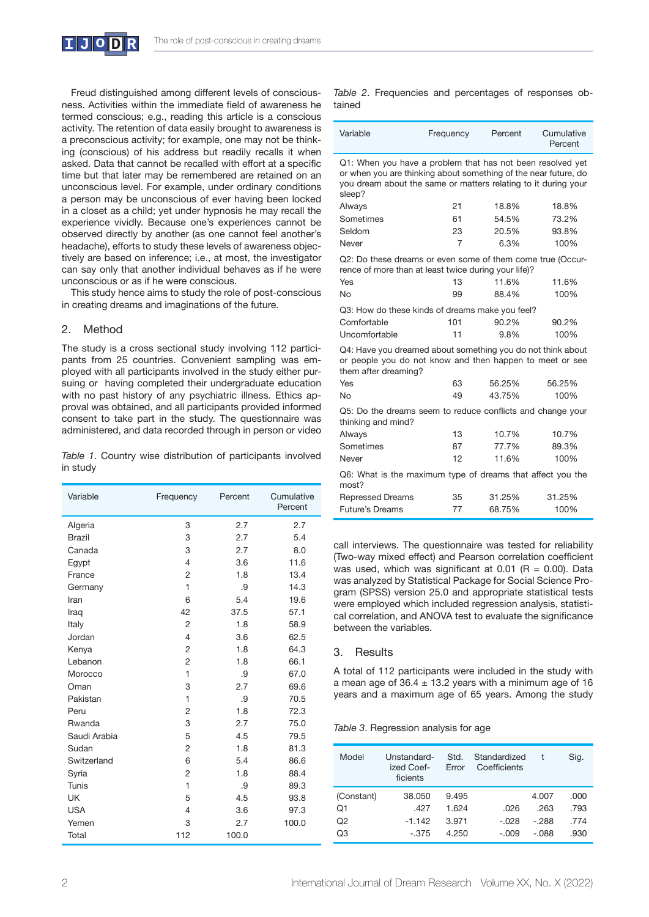

Freud distinguished among different levels of consciousness. Activities within the immediate field of awareness he termed conscious; e.g., reading this article is a conscious activity. The retention of data easily brought to awareness is a preconscious activity; for example, one may not be thinking (conscious) of his address but readily recalls it when asked. Data that cannot be recalled with effort at a specific time but that later may be remembered are retained on an unconscious level. For example, under ordinary conditions a person may be unconscious of ever having been locked in a closet as a child; yet under hypnosis he may recall the experience vividly. Because one's experiences cannot be observed directly by another (as one cannot feel another's headache), efforts to study these levels of awareness objectively are based on inference; i.e., at most, the investigator can say only that another individual behaves as if he were unconscious or as if he were conscious.

This study hence aims to study the role of post-conscious in creating dreams and imaginations of the future.

## 2. Method

The study is a cross sectional study involving 112 participants from 25 countries. Convenient sampling was employed with all participants involved in the study either pursuing or having completed their undergraduate education with no past history of any psychiatric illness. Ethics approval was obtained, and all participants provided informed consent to take part in the study. The questionnaire was administered, and data recorded through in person or video

*Table 1*. Country wise distribution of participants involved in study

| Variable      | Frequency      | Percent | Cumulative<br>Percent |
|---------------|----------------|---------|-----------------------|
| Algeria       | 3              | 2.7     | 2.7                   |
| <b>Brazil</b> | 3              | 2.7     | 5.4                   |
| Canada        | 3              | 2.7     | 8.0                   |
| Egypt         | $\overline{4}$ | 3.6     | 11.6                  |
| France        | $\overline{c}$ | 1.8     | 13.4                  |
| Germany       | 1              | .9      | 14.3                  |
| Iran          | 6              | 5.4     | 19.6                  |
| Iraq          | 42             | 37.5    | 57.1                  |
| Italy         | $\overline{2}$ | 1.8     | 58.9                  |
| Jordan        | $\overline{4}$ | 3.6     | 62.5                  |
| Kenya         | 2              | 1.8     | 64.3                  |
| Lebanon       | 2              | 1.8     | 66.1                  |
| Morocco       | $\mathbf{1}$   | .9      | 67.0                  |
| Oman          | 3              | 2.7     | 69.6                  |
| Pakistan      | 1              | .9      | 70.5                  |
| Peru          | 2              | 1.8     | 72.3                  |
| Rwanda        | 3              | 2.7     | 75.0                  |
| Saudi Arabia  | 5              | 4.5     | 79.5                  |
| Sudan         | 2              | 1.8     | 81.3                  |
| Switzerland   | 6              | 5.4     | 86.6                  |
| Syria         | $\overline{c}$ | 1.8     | 88.4                  |
| Tunis         | 1              | .9      | 89.3                  |
| <b>UK</b>     | 5              | 4.5     | 93.8                  |
| <b>USA</b>    | $\overline{4}$ | 3.6     | 97.3                  |
| Yemen         | 3              | 2.7     | 100.0                 |
| Total         | 112            | 100.0   |                       |

*Table 2*. Frequencies and percentages of responses obtained

| Variable                                                                                                                                                                                                  | Frequency | Percent | Cumulative<br>Percent |  |  |  |  |
|-----------------------------------------------------------------------------------------------------------------------------------------------------------------------------------------------------------|-----------|---------|-----------------------|--|--|--|--|
| Q1: When you have a problem that has not been resolved yet<br>or when you are thinking about something of the near future, do<br>you dream about the same or matters relating to it during your<br>sleep? |           |         |                       |  |  |  |  |
| Always                                                                                                                                                                                                    | 21        | 18.8%   | 18.8%                 |  |  |  |  |
| Sometimes                                                                                                                                                                                                 | 61        | 54.5%   | 73.2%                 |  |  |  |  |
| Seldom                                                                                                                                                                                                    | 23        | 20.5%   | 93.8%                 |  |  |  |  |
| Never                                                                                                                                                                                                     | 7         | 6.3%    | 100%                  |  |  |  |  |
| Q2: Do these dreams or even some of them come true (Occur-<br>rence of more than at least twice during your life)?                                                                                        |           |         |                       |  |  |  |  |
| Yes                                                                                                                                                                                                       | 13        | 11.6%   | 11.6%                 |  |  |  |  |
| No                                                                                                                                                                                                        | 99        | 88.4%   | 100%                  |  |  |  |  |
| Q3: How do these kinds of dreams make you feel?                                                                                                                                                           |           |         |                       |  |  |  |  |
| Comfortable                                                                                                                                                                                               | 101       | 90.2%   | 90.2%                 |  |  |  |  |
| Uncomfortable                                                                                                                                                                                             | 11        | 9.8%    | 100%                  |  |  |  |  |
| Q4: Have you dreamed about something you do not think about<br>or people you do not know and then happen to meet or see<br>them after dreaming?                                                           |           |         |                       |  |  |  |  |
| Yes                                                                                                                                                                                                       | 63        | 56.25%  | 56.25%                |  |  |  |  |
| <b>No</b>                                                                                                                                                                                                 | 49        | 43.75%  | 100%                  |  |  |  |  |
| Q5: Do the dreams seem to reduce conflicts and change your<br>thinking and mind?                                                                                                                          |           |         |                       |  |  |  |  |
| Always                                                                                                                                                                                                    | 13        | 10.7%   | 10.7%                 |  |  |  |  |
| Sometimes                                                                                                                                                                                                 | 87        | 77.7%   | 89.3%                 |  |  |  |  |
| Never                                                                                                                                                                                                     | 12        | 11.6%   | 100%                  |  |  |  |  |
| Q6: What is the maximum type of dreams that affect you the<br>most?                                                                                                                                       |           |         |                       |  |  |  |  |
| <b>Repressed Dreams</b>                                                                                                                                                                                   | 35        | 31.25%  | 31.25%                |  |  |  |  |
| <b>Future's Dreams</b>                                                                                                                                                                                    | 77        | 68.75%  | 100%                  |  |  |  |  |

call interviews. The questionnaire was tested for reliability (Two-way mixed effect) and Pearson correlation coefficient was used, which was significant at 0.01 ( $R = 0.00$ ). Data was analyzed by Statistical Package for Social Science Program (SPSS) version 25.0 and appropriate statistical tests were employed which included regression analysis, statistical correlation, and ANOVA test to evaluate the significance between the variables.

## 3. Results

A total of 112 participants were included in the study with a mean age of  $36.4 \pm 13.2$  years with a minimum age of 16 years and a maximum age of 65 years. Among the study

*Table 3*. Regression analysis for age

| Model      | Unstandard-<br>ized Coef-<br>ficients | Std.<br>Frror | Standardized<br>Coefficients |        | Sig. |
|------------|---------------------------------------|---------------|------------------------------|--------|------|
| (Constant) | 38.050                                | 9.495         |                              | 4.007  | .000 |
| Q1         | .427                                  | 1.624         | .026                         | .263   | .793 |
| Q2         | $-1.142$                              | 3.971         | $-.028$                      | $-288$ | .774 |
| Q3         | - 375                                 | 4.250         | $-.009$                      | -.088  | .930 |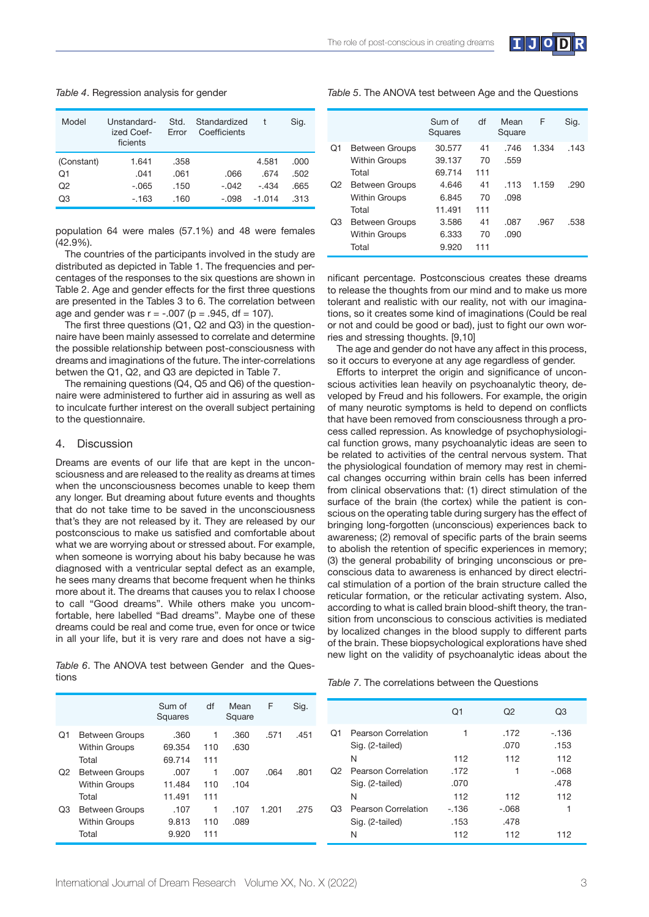

| Table 4. Regression analysis for gender |  |
|-----------------------------------------|--|
|                                         |  |

| Model          | Unstandard-<br>ized Coef-<br>ficients | Std.<br>Frror | Standardized<br>Coefficients |          | Sig. |
|----------------|---------------------------------------|---------------|------------------------------|----------|------|
| (Constant)     | 1.641                                 | .358          |                              | 4.581    | .000 |
| Q1             | .041                                  | .061          | .066                         | .674     | .502 |
| O <sub>2</sub> | $-.065$                               | .150          | $-.042$                      | $-.434$  | .665 |
| Q3             | $-163$                                | .160          | -.098                        | $-1.014$ | .313 |

population 64 were males (57.1%) and 48 were females (42.9%).

The countries of the participants involved in the study are distributed as depicted in Table 1. The frequencies and percentages of the responses to the six questions are shown in Table 2. Age and gender effects for the first three questions are presented in the Tables 3 to 6. The correlation between age and gender was  $r = -.007$  ( $p = .945$ , df = 107).

The first three questions ( $Q1$ ,  $Q2$  and  $Q3$ ) in the questionnaire have been mainly assessed to correlate and determine the possible relationship between post-consciousness with dreams and imaginations of the future. The inter-correlations betwen the Q1, Q2, and Q3 are depicted in Table 7.

The remaining questions (Q4, Q5 and Q6) of the questionnaire were administered to further aid in assuring as well as to inculcate further interest on the overall subject pertaining to the questionnaire.

#### 4. Discussion

Dreams are events of our life that are kept in the unconsciousness and are released to the reality as dreams at times when the unconsciousness becomes unable to keep them any longer. But dreaming about future events and thoughts that do not take time to be saved in the unconsciousness that's they are not released by it. They are released by our postconscious to make us satisfied and comfortable about what we are worrying about or stressed about. For example, when someone is worrying about his baby because he was diagnosed with a ventricular septal defect as an example, he sees many dreams that become frequent when he thinks more about it. The dreams that causes you to relax I choose to call "Good dreams". While others make you uncomfortable, here labelled "Bad dreams". Maybe one of these dreams could be real and come true, even for once or twice in all your life, but it is very rare and does not have a sig-

*Table 6*. The ANOVA test between Gender and the Questions

| Table 5. The ANOVA test between Age and the Questions |  |  |  |
|-------------------------------------------------------|--|--|--|
|-------------------------------------------------------|--|--|--|

|    |                                                        | Sum of<br>Squares          | df              | Mean<br>Square | F     | Sig. |
|----|--------------------------------------------------------|----------------------------|-----------------|----------------|-------|------|
| Q1 | Between Groups<br><b>Within Groups</b><br>Total        | 30.577<br>39.137<br>69.714 | 41<br>70<br>111 | .746<br>.559   | 1.334 | .143 |
| Q2 | <b>Between Groups</b><br><b>Within Groups</b><br>Total | 4.646<br>6.845<br>11.491   | 41<br>70<br>111 | .113<br>.098   | 1.159 | .290 |
| Q3 | <b>Between Groups</b><br><b>Within Groups</b><br>Total | 3.586<br>6.333<br>9.920    | 41<br>70<br>111 | .087<br>.090   | .967  | .538 |

nificant percentage. Postconscious creates these dreams to release the thoughts from our mind and to make us more tolerant and realistic with our reality, not with our imaginations, so it creates some kind of imaginations (Could be real or not and could be good or bad), just to fight our own worries and stressing thoughts. [9,10]

The age and gender do not have any affect in this process, so it occurs to everyone at any age regardless of gender.

Efforts to interpret the origin and significance of unconscious activities lean heavily on psychoanalytic theory, developed by Freud and his followers. For example, the origin of many neurotic symptoms is held to depend on conflicts that have been removed from consciousness through a process called repression. As knowledge of psychophysiological function grows, many psychoanalytic ideas are seen to be related to activities of the central nervous system. That the physiological foundation of memory may rest in chemical changes occurring within brain cells has been inferred from clinical observations that: (1) direct stimulation of the surface of the brain (the cortex) while the patient is conscious on the operating table during surgery has the effect of bringing long-forgotten (unconscious) experiences back to awareness; (2) removal of specific parts of the brain seems to abolish the retention of specific experiences in memory; (3) the general probability of bringing unconscious or preconscious data to awareness is enhanced by direct electrical stimulation of a portion of the brain structure called the reticular formation, or the reticular activating system. Also, according to what is called brain blood-shift theory, the transition from unconscious to conscious activities is mediated by localized changes in the blood supply to different parts of the brain. These biopsychological explorations have shed new light on the validity of psychoanalytic ideas about the

|--|

|    |                                                        | Sum of<br>Squares        | df              | Mean<br>Square | F     | Sig. |                |                        |
|----|--------------------------------------------------------|--------------------------|-----------------|----------------|-------|------|----------------|------------------------|
| Q1 | <b>Between Groups</b><br><b>Within Groups</b><br>Total | .360<br>69.354<br>69.714 | 1<br>110<br>111 | .360<br>.630   | .571  | .451 | Q1             | Pearso<br>Sig. (2<br>N |
| Q2 | <b>Between Groups</b><br><b>Within Groups</b><br>Total | .007<br>11.484<br>11.491 | 1<br>110<br>111 | .007<br>.104   | .064  | .801 | Q <sub>2</sub> | Pearso<br>Sig. (2<br>N |
| Q3 | <b>Between Groups</b><br><b>Within Groups</b><br>Total | .107<br>9.813<br>9.920   | 1<br>110<br>111 | .107<br>.089   | 1.201 | .275 | Q3             | Pearso<br>Sig. (2<br>N |

|                |                                                         | O1                           | Q2                            | Q3                   |
|----------------|---------------------------------------------------------|------------------------------|-------------------------------|----------------------|
| O1             | Pearson Correlation<br>Sig. (2-tailed)<br>N             | 112                          | .172<br>.070<br>112           | -.136<br>.153<br>112 |
| O <sub>2</sub> | Pearson Correlation<br>Sig. (2-tailed)                  | .172<br>.070                 | 1                             | $-.068$<br>.478      |
| Q3             | N<br><b>Pearson Correlation</b><br>Sig. (2-tailed)<br>N | 112<br>$-136$<br>.153<br>112 | 112<br>$-.068$<br>.478<br>112 | 112<br>1<br>112      |